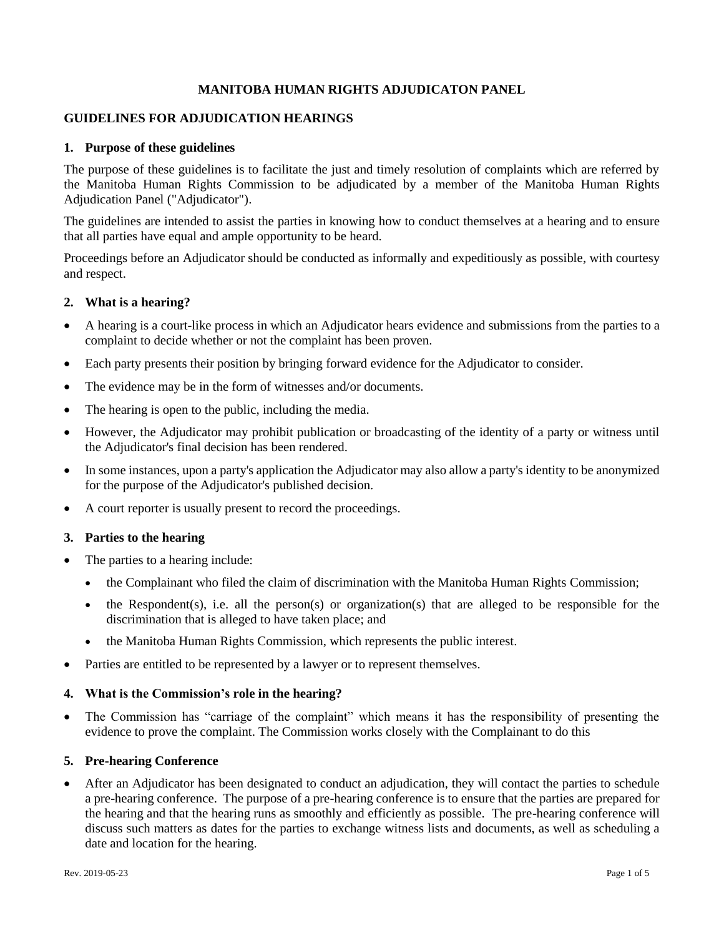### **MANITOBA HUMAN RIGHTS ADJUDICATON PANEL**

### **GUIDELINES FOR ADJUDICATION HEARINGS**

### **1. Purpose of these guidelines**

The purpose of these guidelines is to facilitate the just and timely resolution of complaints which are referred by the Manitoba Human Rights Commission to be adjudicated by a member of the Manitoba Human Rights Adjudication Panel ("Adjudicator").

The guidelines are intended to assist the parties in knowing how to conduct themselves at a hearing and to ensure that all parties have equal and ample opportunity to be heard.

Proceedings before an Adjudicator should be conducted as informally and expeditiously as possible, with courtesy and respect.

### **2. What is a hearing?**

- A hearing is a court-like process in which an Adjudicator hears evidence and submissions from the parties to a complaint to decide whether or not the complaint has been proven.
- Each party presents their position by bringing forward evidence for the Adjudicator to consider.
- The evidence may be in the form of witnesses and/or documents.
- The hearing is open to the public, including the media.
- However, the Adjudicator may prohibit publication or broadcasting of the identity of a party or witness until the Adjudicator's final decision has been rendered.
- In some instances, upon a party's application the Adjudicator may also allow a party's identity to be anonymized for the purpose of the Adjudicator's published decision.
- A court reporter is usually present to record the proceedings.

### **3. Parties to the hearing**

- The parties to a hearing include:
	- the Complainant who filed the claim of discrimination with the Manitoba Human Rights Commission;
	- the Respondent(s), i.e. all the person(s) or organization(s) that are alleged to be responsible for the discrimination that is alleged to have taken place; and
	- the Manitoba Human Rights Commission, which represents the public interest.
- Parties are entitled to be represented by a lawyer or to represent themselves.

### **4. What is the Commission's role in the hearing?**

• The Commission has "carriage of the complaint" which means it has the responsibility of presenting the evidence to prove the complaint. The Commission works closely with the Complainant to do this

### **5. Pre-hearing Conference**

• After an Adjudicator has been designated to conduct an adjudication, they will contact the parties to schedule a pre-hearing conference. The purpose of a pre-hearing conference is to ensure that the parties are prepared for the hearing and that the hearing runs as smoothly and efficiently as possible. The pre-hearing conference will discuss such matters as dates for the parties to exchange witness lists and documents, as well as scheduling a date and location for the hearing.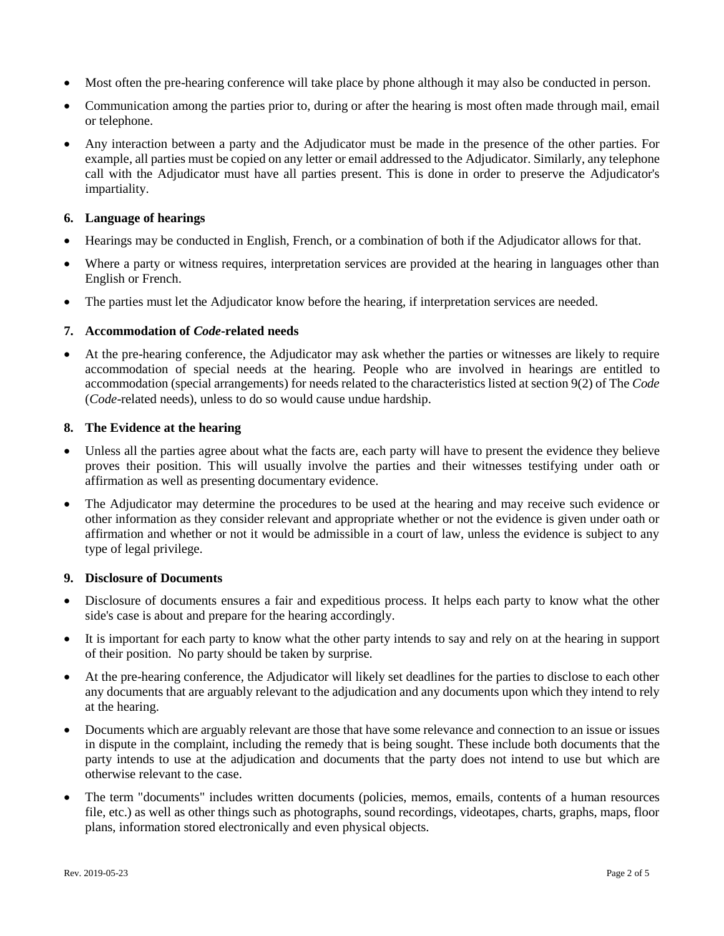- Most often the pre-hearing conference will take place by phone although it may also be conducted in person.
- Communication among the parties prior to, during or after the hearing is most often made through mail, email or telephone.
- Any interaction between a party and the Adjudicator must be made in the presence of the other parties. For example, all parties must be copied on any letter or email addressed to the Adjudicator. Similarly, any telephone call with the Adjudicator must have all parties present. This is done in order to preserve the Adjudicator's impartiality.

## **6. Language of hearings**

- Hearings may be conducted in English, French, or a combination of both if the Adjudicator allows for that.
- Where a party or witness requires, interpretation services are provided at the hearing in languages other than English or French.
- The parties must let the Adjudicator know before the hearing, if interpretation services are needed.

## **7. Accommodation of** *Code***-related needs**

• At the pre-hearing conference, the Adjudicator may ask whether the parties or witnesses are likely to require accommodation of special needs at the hearing. People who are involved in hearings are entitled to accommodation (special arrangements) for needs related to the characteristics listed at section 9(2) of The *Code* (*Code*-related needs), unless to do so would cause undue hardship.

## **8. The Evidence at the hearing**

- Unless all the parties agree about what the facts are, each party will have to present the evidence they believe proves their position. This will usually involve the parties and their witnesses testifying under oath or affirmation as well as presenting documentary evidence.
- The Adjudicator may determine the procedures to be used at the hearing and may receive such evidence or other information as they consider relevant and appropriate whether or not the evidence is given under oath or affirmation and whether or not it would be admissible in a court of law, unless the evidence is subject to any type of legal privilege.

## **9. Disclosure of Documents**

- Disclosure of documents ensures a fair and expeditious process. It helps each party to know what the other side's case is about and prepare for the hearing accordingly.
- It is important for each party to know what the other party intends to say and rely on at the hearing in support of their position. No party should be taken by surprise.
- At the pre-hearing conference, the Adjudicator will likely set deadlines for the parties to disclose to each other any documents that are arguably relevant to the adjudication and any documents upon which they intend to rely at the hearing.
- Documents which are arguably relevant are those that have some relevance and connection to an issue or issues in dispute in the complaint, including the remedy that is being sought. These include both documents that the party intends to use at the adjudication and documents that the party does not intend to use but which are otherwise relevant to the case.
- The term "documents" includes written documents (policies, memos, emails, contents of a human resources file, etc.) as well as other things such as photographs, sound recordings, videotapes, charts, graphs, maps, floor plans, information stored electronically and even physical objects.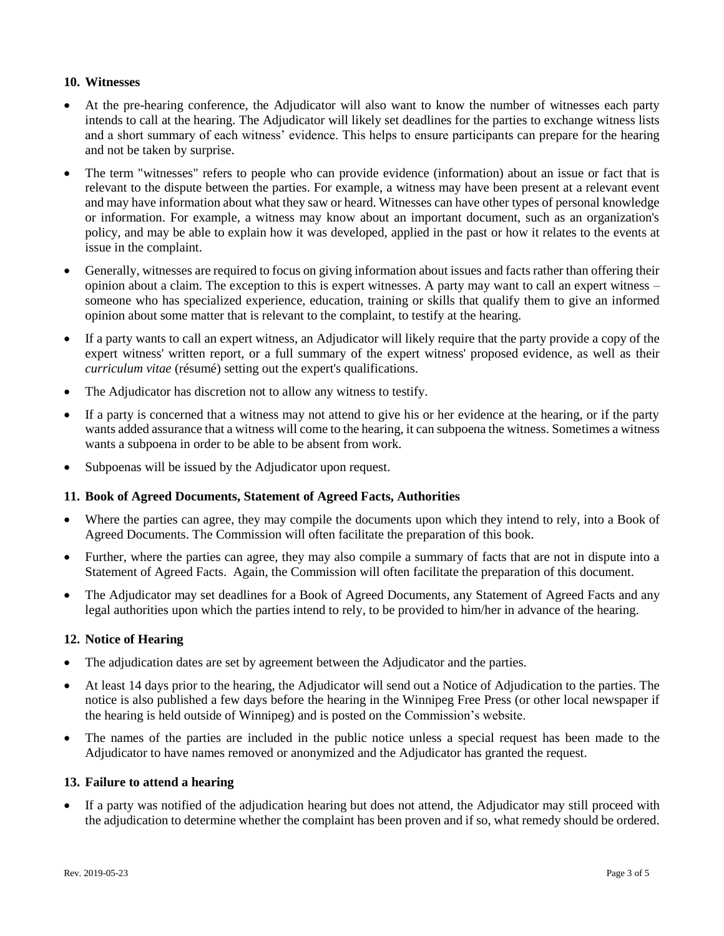## **10. Witnesses**

- At the pre-hearing conference, the Adjudicator will also want to know the number of witnesses each party intends to call at the hearing. The Adjudicator will likely set deadlines for the parties to exchange witness lists and a short summary of each witness' evidence. This helps to ensure participants can prepare for the hearing and not be taken by surprise.
- The term "witnesses" refers to people who can provide evidence (information) about an issue or fact that is relevant to the dispute between the parties. For example, a witness may have been present at a relevant event and may have information about what they saw or heard. Witnesses can have other types of personal knowledge or information. For example, a witness may know about an important document, such as an organization's policy, and may be able to explain how it was developed, applied in the past or how it relates to the events at issue in the complaint.
- Generally, witnesses are required to focus on giving information about issues and facts rather than offering their opinion about a claim. The exception to this is expert witnesses. A party may want to call an expert witness – someone who has specialized experience, education, training or skills that qualify them to give an informed opinion about some matter that is relevant to the complaint, to testify at the hearing.
- If a party wants to call an expert witness, an Adjudicator will likely require that the party provide a copy of the expert witness' written report, or a full summary of the expert witness' proposed evidence, as well as their *curriculum vitae* (résumé) setting out the expert's qualifications.
- The Adjudicator has discretion not to allow any witness to testify.
- If a party is concerned that a witness may not attend to give his or her evidence at the hearing, or if the party wants added assurance that a witness will come to the hearing, it can subpoena the witness. Sometimes a witness wants a subpoena in order to be able to be absent from work.
- Subpoenas will be issued by the Adjudicator upon request.

### **11. Book of Agreed Documents, Statement of Agreed Facts, Authorities**

- Where the parties can agree, they may compile the documents upon which they intend to rely, into a Book of Agreed Documents. The Commission will often facilitate the preparation of this book.
- Further, where the parties can agree, they may also compile a summary of facts that are not in dispute into a Statement of Agreed Facts. Again, the Commission will often facilitate the preparation of this document.
- The Adjudicator may set deadlines for a Book of Agreed Documents, any Statement of Agreed Facts and any legal authorities upon which the parties intend to rely, to be provided to him/her in advance of the hearing.

### **12. Notice of Hearing**

- The adjudication dates are set by agreement between the Adjudicator and the parties.
- At least 14 days prior to the hearing, the Adjudicator will send out a Notice of Adjudication to the parties. The notice is also published a few days before the hearing in the Winnipeg Free Press (or other local newspaper if the hearing is held outside of Winnipeg) and is posted on the Commission's website.
- The names of the parties are included in the public notice unless a special request has been made to the Adjudicator to have names removed or anonymized and the Adjudicator has granted the request.

# **13. Failure to attend a hearing**

• If a party was notified of the adjudication hearing but does not attend, the Adjudicator may still proceed with the adjudication to determine whether the complaint has been proven and if so, what remedy should be ordered.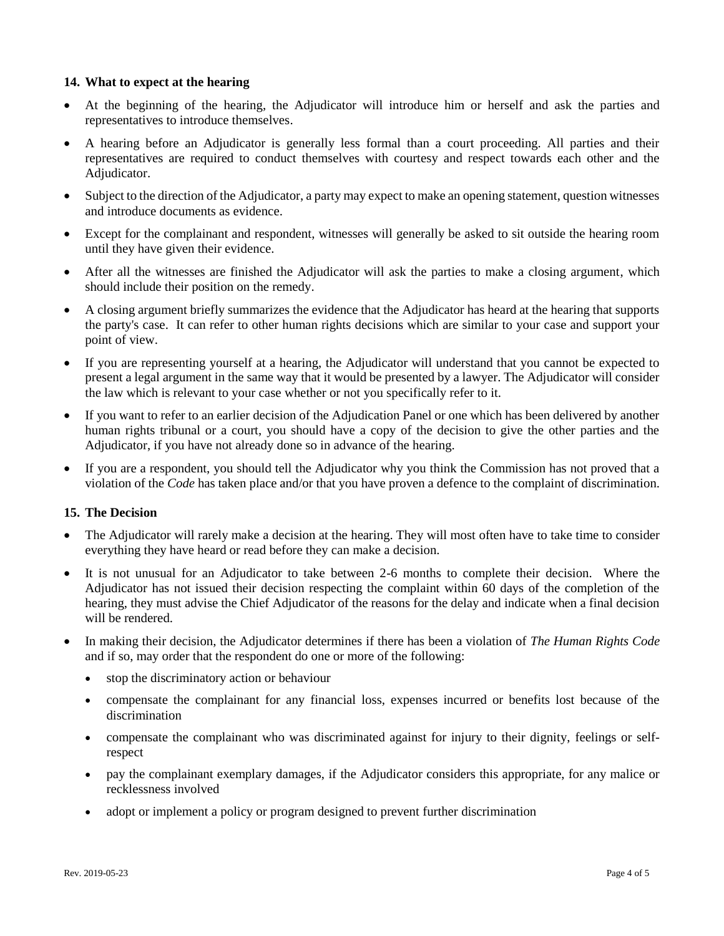### **14. What to expect at the hearing**

- At the beginning of the hearing, the Adjudicator will introduce him or herself and ask the parties and representatives to introduce themselves.
- A hearing before an Adjudicator is generally less formal than a court proceeding. All parties and their representatives are required to conduct themselves with courtesy and respect towards each other and the Adjudicator.
- Subject to the direction of the Adjudicator, a party may expect to make an opening statement, question witnesses and introduce documents as evidence.
- Except for the complainant and respondent, witnesses will generally be asked to sit outside the hearing room until they have given their evidence.
- After all the witnesses are finished the Adjudicator will ask the parties to make a closing argument, which should include their position on the remedy.
- A closing argument briefly summarizes the evidence that the Adjudicator has heard at the hearing that supports the party's case. It can refer to other human rights decisions which are similar to your case and support your point of view.
- If you are representing yourself at a hearing, the Adjudicator will understand that you cannot be expected to present a legal argument in the same way that it would be presented by a lawyer. The Adjudicator will consider the law which is relevant to your case whether or not you specifically refer to it.
- If you want to refer to an earlier decision of the Adjudication Panel or one which has been delivered by another human rights tribunal or a court, you should have a copy of the decision to give the other parties and the Adjudicator, if you have not already done so in advance of the hearing.
- If you are a respondent, you should tell the Adjudicator why you think the Commission has not proved that a violation of the *Code* has taken place and/or that you have proven a defence to the complaint of discrimination.

### **15. The Decision**

- The Adjudicator will rarely make a decision at the hearing. They will most often have to take time to consider everything they have heard or read before they can make a decision.
- It is not unusual for an Adjudicator to take between 2-6 months to complete their decision. Where the Adjudicator has not issued their decision respecting the complaint within 60 days of the completion of the hearing, they must advise the Chief Adjudicator of the reasons for the delay and indicate when a final decision will be rendered.
- In making their decision, the Adjudicator determines if there has been a violation of *The Human Rights Code* and if so, may order that the respondent do one or more of the following:
	- stop the discriminatory action or behaviour
	- compensate the complainant for any financial loss, expenses incurred or benefits lost because of the discrimination
	- compensate the complainant who was discriminated against for injury to their dignity, feelings or selfrespect
	- pay the complainant exemplary damages, if the Adjudicator considers this appropriate, for any malice or recklessness involved
	- adopt or implement a policy or program designed to prevent further discrimination